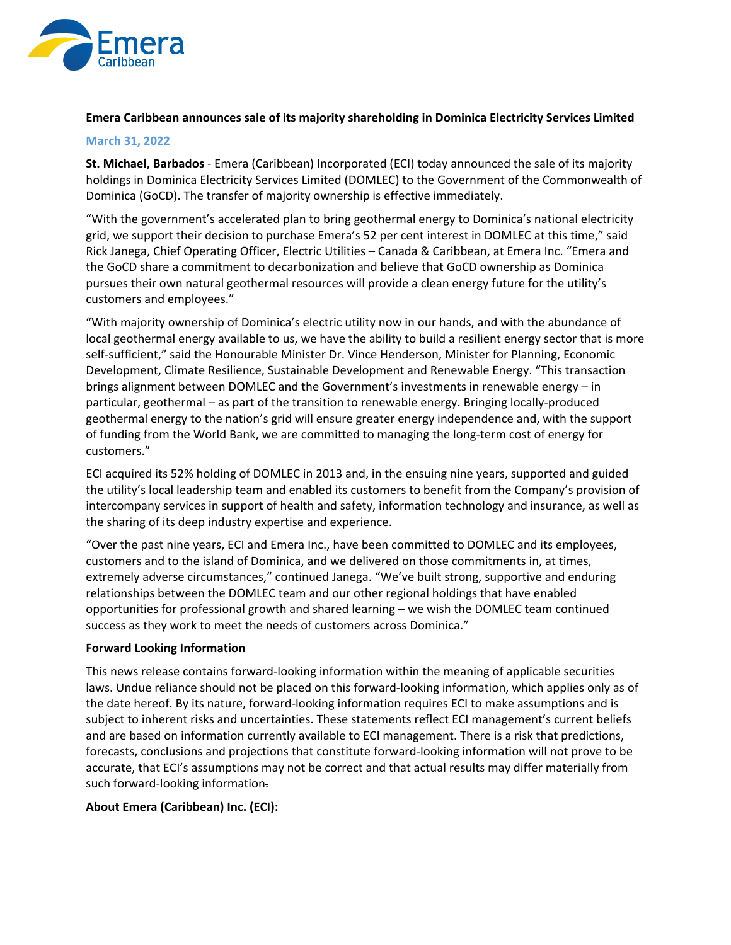

# **Emera Caribbean announces sale of its majority shareholding in Dominica Electricity Services Limited**

#### **March 31, 2022**

**St. Michael, Barbados** ‐ Emera (Caribbean) Incorporated (ECI) today announced the sale of its majority holdings in Dominica Electricity Services Limited (DOMLEC) to the Government of the Commonwealth of Dominica (GoCD). The transfer of majority ownership is effective immediately.

"With the government's accelerated plan to bring geothermal energy to Dominica's national electricity grid, we support their decision to purchase Emera's 52 per cent interest in DOMLEC at this time," said Rick Janega, Chief Operating Officer, Electric Utilities – Canada & Caribbean, at Emera Inc. "Emera and the GoCD share a commitment to decarbonization and believe that GoCD ownership as Dominica pursues their own natural geothermal resources will provide a clean energy future for the utility's customers and employees."

"With majority ownership of Dominica's electric utility now in our hands, and with the abundance of local geothermal energy available to us, we have the ability to build a resilient energy sector that is more self-sufficient," said the Honourable Minister Dr. Vince Henderson, Minister for Planning, Economic Development, Climate Resilience, Sustainable Development and Renewable Energy. "This transaction brings alignment between DOMLEC and the Government's investments in renewable energy – in particular, geothermal – as part of the transition to renewable energy. Bringing locally‐produced geothermal energy to the nation's grid will ensure greater energy independence and, with the support of funding from the World Bank, we are committed to managing the long‐term cost of energy for customers."

ECI acquired its 52% holding of DOMLEC in 2013 and, in the ensuing nine years, supported and guided the utility's local leadership team and enabled its customers to benefit from the Company's provision of intercompany services in support of health and safety, information technology and insurance, as well as the sharing of its deep industry expertise and experience.

"Over the past nine years, ECI and Emera Inc., have been committed to DOMLEC and its employees, customers and to the island of Dominica, and we delivered on those commitments in, at times, extremely adverse circumstances," continued Janega. "We've built strong, supportive and enduring relationships between the DOMLEC team and our other regional holdings that have enabled opportunities for professional growth and shared learning – we wish the DOMLEC team continued success as they work to meet the needs of customers across Dominica."

## **Forward Looking Information**

This news release contains forward‐looking information within the meaning of applicable securities laws. Undue reliance should not be placed on this forward-looking information, which applies only as of the date hereof. By its nature, forward‐looking information requires ECI to make assumptions and is subject to inherent risks and uncertainties. These statements reflect ECI management's current beliefs and are based on information currently available to ECI management. There is a risk that predictions, forecasts, conclusions and projections that constitute forward‐looking information will not prove to be accurate, that ECI's assumptions may not be correct and that actual results may differ materially from such forward-looking information.

## **About Emera (Caribbean) Inc. (ECI):**